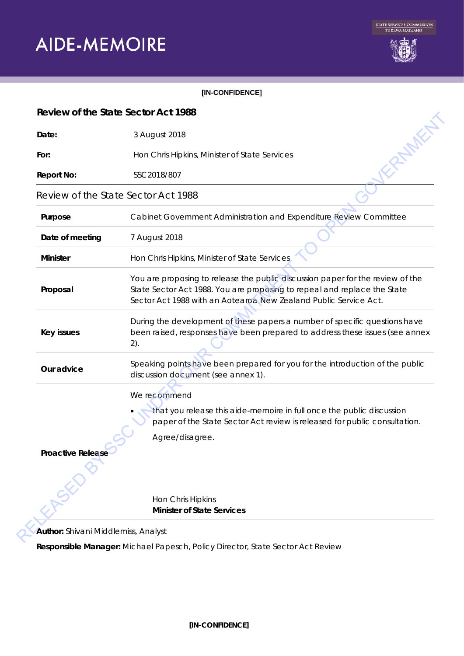# **AIDE-MEMOIRE**



#### **[IN-CONFIDENCE]**

| Date:                               | 3 August 2018                                                                                                                                                                                                                  |
|-------------------------------------|--------------------------------------------------------------------------------------------------------------------------------------------------------------------------------------------------------------------------------|
| For:                                | Hon Chris Hipkins, Minister of State Services                                                                                                                                                                                  |
| <b>Report No:</b>                   | SSC2018/807                                                                                                                                                                                                                    |
| Review of the State Sector Act 1988 |                                                                                                                                                                                                                                |
| Purpose                             | Cabinet Government Administration and Expenditure Review Committee                                                                                                                                                             |
| Date of meeting                     | 7 August 2018                                                                                                                                                                                                                  |
| <b>Minister</b>                     | Hon Chris Hipkins, Minister of State Services                                                                                                                                                                                  |
| Proposal                            | You are proposing to release the public discussion paper for the review of the<br>State Sector Act 1988. You are proposing to repeal and replace the State<br>Sector Act 1988 with an Aotearoa New Zealand Public Service Act. |
| Key issues                          | During the development of these papers a number of specific questions have<br>been raised, responses have been prepared to address these issues (see annex<br>2).                                                              |
| Our advice                          | Speaking points have been prepared for you for the introduction of the public<br>discussion document (see annex 1).                                                                                                            |
|                                     | We recommend                                                                                                                                                                                                                   |
|                                     | that you release this aide-memoire in full once the public discussion<br>paper of the State Sector Act review is released for public consultation.                                                                             |
|                                     | Agree/disagree.                                                                                                                                                                                                                |
| Proactive Release                   |                                                                                                                                                                                                                                |
|                                     | Hon Chris Hipkins                                                                                                                                                                                                              |
|                                     | <b>Minister of State Services</b>                                                                                                                                                                                              |

**Responsible Manager:** Michael Papesch, Policy Director, State Sector Act Review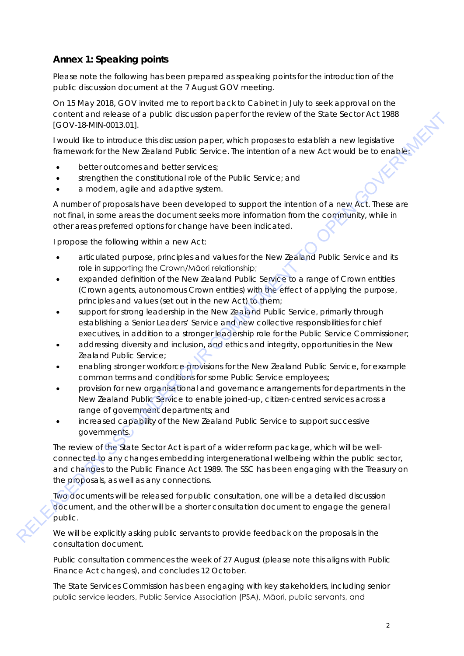# **Annex 1: Speaking points**

*Please note the following has been prepared as speaking points for the introduction of the public discussion document at the 7 August GOV meeting.*

On 15 May 2018, GOV invited me to report back to Cabinet in July to seek approval on the content and release of a public discussion paper for the review of the State Sector Act 1988 [GOV-18-MIN-0013.01].

I would like to introduce this discussion paper, which proposes to establish a new legislative framework for the New Zealand Public Service. The intention of a new Act would be to enable:

- better outcomes and better services;
- strengthen the constitutional role of the Public Service; and
- a modern, agile and adaptive system.

A number of proposals have been developed to support the intention of a new Act. These are not final, in some areas the document seeks more information from the community, while in other areas preferred options for change have been indicated.

I propose the following within a new Act:

- articulated purpose, principles and values for the New Zealand Public Service and its role in supporting the Crown/Māori relationship;
- expanded definition of the New Zealand Public Service to a range of Crown entities (Crown agents, autonomous Crown entities) with the effect of applying the purpose, principles and values (set out in the new Act) to them;
- support for strong leadership in the New Zealand Public Service, primarily through establishing a Senior Leaders' Service and new collective responsibilities for chief executives, in addition to a stronger leadership role for the Public Service Commissioner;
- addressing diversity and inclusion, and ethics and integrity, opportunities in the New Zealand Public Service;
- enabling stronger workforce provisions for the New Zealand Public Service, for example common terms and conditions for some Public Service employees;
- provision for new organisational and governance arrangements for departments in the New Zealand Public Service to enable joined-up, citizen-centred services across a range of government departments; and
- increased capability of the New Zealand Public Service to support successive governments.

The review of the State Sector Act is part of a wider reform package, which will be wellconnected to any changes embedding intergenerational wellbeing within the public sector, and changes to the Public Finance Act 1989. The SSC has been engaging with the Treasury on the proposals, as well as any connections. COV-THEN prints describe the base of the Note of the Note Andreased Commuter (COV-THENDOW) to the COMMITMENT TO THE CONSULTS (SCOVER) (COV-THENDOW) is the method of the Note of the Note of the Note of the Note of the Note

Two documents will be released for public consultation, one will be a detailed discussion document, and the other will be a shorter consultation document to engage the general public.

We will be explicitly asking public servants to provide feedback on the proposals in the consultation document.

Public consultation commences the week of 27 August (please note this aligns with Public Finance Act changes), and concludes 12 October.

The State Services Commission has been engaging with key stakeholders, including senior public service leaders, Public Service Association (PSA), Māori, public servants, and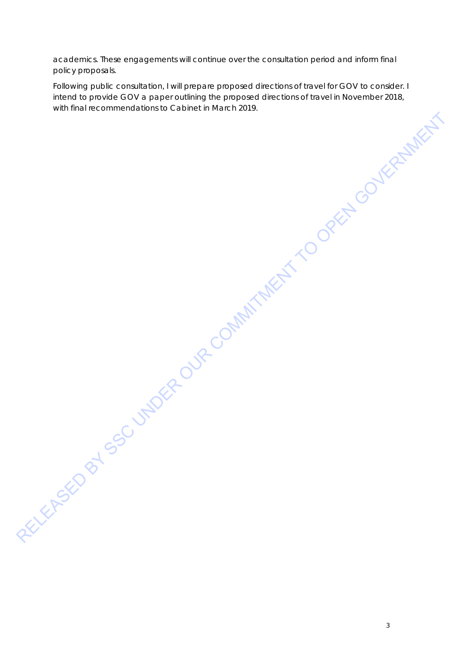academics. These engagements will continue over the consultation period and inform final policy proposals.

Following public consultation, I will prepare proposed directions of travel for GOV to consider. I intend to provide GOV a paper outlining the proposed directions of travel in November 2018, with final recommendations to Cabinet in March 2019. RELEASED BY SSC UNDER OUR COMMITMENT TO OPEN GOVERNMENT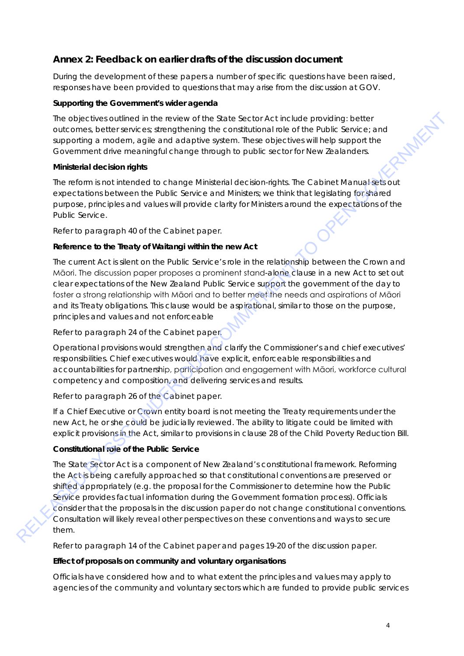## **Annex 2: Feedback on earlier drafts of the discussion document**

*During the development of these papers a number of specific questions have been raised, responses have been provided to questions that may arise from the discussion at GOV.* 

## **Supporting the Government's wider agenda**

The objectives outlined in the review of the State Sector Act include providing: better outcomes, better services; strengthening the constitutional role of the Public Service; and supporting a modern, agile and adaptive system. These objectives will help support the Government drive meaningful change through to public sector for New Zealanders.

## **Ministerial decision rights**

The reform is not intended to change Ministerial decision-rights. The Cabinet Manual sets out expectations between the Public Service and Ministers; we think that legislating for shared purpose, principles and values will provide clarity for Ministers around the expectations of the Public Service.

*Refer to paragraph 40 of the Cabinet paper.*

## **Reference to the Treaty of Waitangi within the new Act**

The current Act is silent on the Public Service's role in the relationship between the Crown and Māori. The discussion paper proposes a prominent stand-alone clause in a new Act to set out clear expectations of the New Zealand Public Service support the government of the day to foster a strong relationship with Māori and to better meet the needs and aspirations of Māori and its Treaty obligations. This clause would be aspirational, similar to those on the purpose, principles and values and not enforceable

## *Refer to paragraph 24 of the Cabinet paper.*

Operational provisions would strengthen and clarify the Commissioner's and chief executives' responsibilities. Chief executives would have explicit, enforceable responsibilities and accountabilities for partnership, participation and engagement with Māori, workforce cultural competency and composition, and delivering services and results.

*Refer to paragraph 26 of the Cabinet paper.*

If a Chief Executive or Crown entity board is not meeting the Treaty requirements under the new Act, he or she could be judicially reviewed. The ability to litigate could be limited with explicit provisions in the Act, similar to provisions in clause 28 of the Child Poverty Reduction Bill.

## **Constitutional role of the Public Service**

The State Sector Act is a component of New Zealand's constitutional framework. Reforming the Act is being carefully approached so that constitutional conventions are preserved or shifted appropriately (e.g. the proposal for the Commissioner to determine how the Public Service provides factual information during the Government formation process). Officials consider that the proposals in the discussion paper do not change constitutional conventions. Consultation will likely reveal other perspectives on these conventions and ways to secure them. The eigencial method of the reader of this Successory Actincture providing teleform and properties the support to evolve the reader of the successive properties are additional method support to operation a properties and a

*Refer to paragraph 14 of the Cabinet paper and pages 19-20 of the discussion paper.* 

## **Effect of proposals on community and voluntary organisations**

Officials have considered how and to what extent the principles and values may apply to agencies of the community and voluntary sectors which are funded to provide public services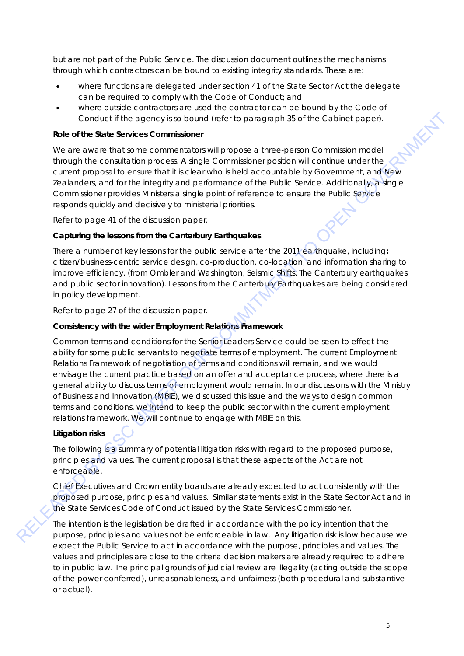but are not part of the Public Service. The discussion document outlines the mechanisms through which contractors can be bound to existing integrity standards. These are:

- where functions are delegated under section 41 of the State Sector Act the delegate can be required to comply with the Code of Conduct; and
- where outside contractors are used the contractor can be bound by the Code of Conduct if the agency is so bound (refer to paragraph 35 of the Cabinet paper).

#### **Role of the State Services Commissioner**

We are aware that some commentators will propose a three-person Commission model through the consultation process. A single Commissioner position will continue under the current proposal to ensure that it is clear who is held accountable by Government, and New Zealanders, and for the integrity and performance of the Public Service. Additionally, a single Commissioner provides Ministers a single point of reference to ensure the Public Service responds quickly and decisively to ministerial priorities.

*Refer to page 41 of the discussion paper.*

## **Capturing the lessons from the Canterbury Earthquakes**

There a number of key lessons for the public service after the 2011 earthquake, including**:** citizen/business-centric service design, co-production, co-location, and information sharing to improve efficiency, (from Ombler and Washington, *Seismic Shifts: The Canterbury earthquakes and public sector innovation*). Lessons from the Canterbury Earthquakes are being considered in policy development.

*Refer to page 27 of the discussion paper.* 

## **Consistency with the wider Employment Relations Framework**

Common terms and conditions for the Senior Leaders Service could be seen to effect the ability for some public servants to negotiate terms of employment. The current Employment Relations Framework of negotiation of terms and conditions will remain, and we would envisage the current practice based on an offer and acceptance process, where there is a general ability to discuss terms of employment would remain. In our discussions with the Ministry of Business and Innovation (MBIE), we discussed this issue and the ways to design common terms and conditions, we intend to keep the public sector within the current employment relations framework. We will continue to engage with MBIE on this. Conduct if the agency is to bound (ofer to puragraph 35 of the Cabinet paper).<br>
Relead to the Slab Services Commissions release the services of the Slab Services Commission model<br>
Received the considered process. A single

#### **Litigation risks**

The following is a summary of potential litigation risks with regard to the proposed purpose, principles and values. The current proposal is that these aspects of the Act are not enforceable.

Chief Executives and Crown entity boards are already expected to act consistently with the proposed purpose, principles and values. Similar statements exist in the State Sector Act and in the State Services Code of Conduct issued by the State Services Commissioner.

The intention is the legislation be drafted in accordance with the policy intention that the purpose, principles and values not be enforceable in law. Any litigation risk is low because we expect the Public Service to act in accordance with the purpose, principles and values. The values and principles are close to the criteria decision makers are already required to adhere to in public law. The principal grounds of judicial review are illegality (acting outside the scope of the power conferred), unreasonableness, and unfairness (both procedural and substantive or actual).